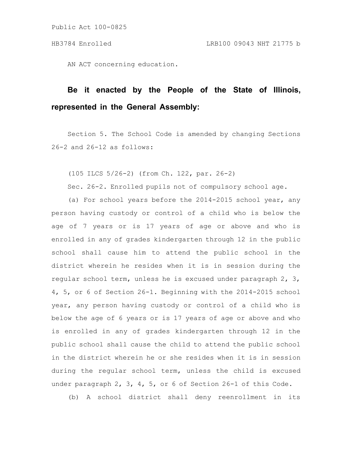AN ACT concerning education.

## **Be it enacted by the People of the State of Illinois, represented in the General Assembly:**

Section 5. The School Code is amended by changing Sections 26-2 and 26-12 as follows:

(105 ILCS 5/26-2) (from Ch. 122, par. 26-2)

Sec. 26-2. Enrolled pupils not of compulsory school age.

(a) For school years before the 2014-2015 school year, any person having custody or control of a child who is below the age of 7 years or is 17 years of age or above and who is enrolled in any of grades kindergarten through 12 in the public school shall cause him to attend the public school in the district wherein he resides when it is in session during the regular school term, unless he is excused under paragraph 2, 3, 4, 5, or 6 of Section 26-1. Beginning with the 2014-2015 school year, any person having custody or control of a child who is below the age of 6 years or is 17 years of age or above and who is enrolled in any of grades kindergarten through 12 in the public school shall cause the child to attend the public school in the district wherein he or she resides when it is in session during the regular school term, unless the child is excused under paragraph 2, 3, 4, 5, or 6 of Section 26-1 of this Code.

(b) A school district shall deny reenrollment in its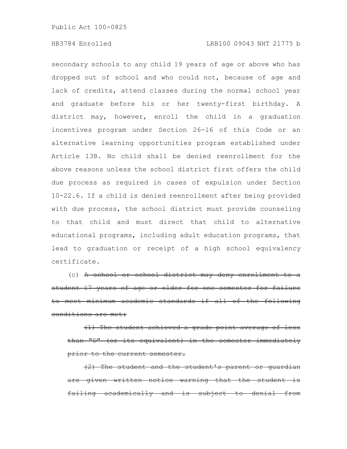secondary schools to any child 19 years of age or above who has dropped out of school and who could not, because of age and lack of credits, attend classes during the normal school year and graduate before his or her twenty-first birthday. A district may, however, enroll the child in a graduation incentives program under Section 26-16 of this Code or an alternative learning opportunities program established under Article 13B. No child shall be denied reenrollment for the above reasons unless the school district first offers the child due process as required in cases of expulsion under Section 10-22.6. If a child is denied reenrollment after being provided with due process, the school district must provide counseling to that child and must direct that child to alternative educational programs, including adult education programs, that lead to graduation or receipt of a high school equivalency certificate.

(c) A school or school district may deny enrollment to a student 17 years of age or older for one semester meet minimum academic standards if all of the conditions are met:

(1) The student achieved a grade point average than "D" (or its equivalent) in the semester prior to the current semester.

(2) The student and the student's parent or guardian given written notice warning that the student  $failing academically and is subject to$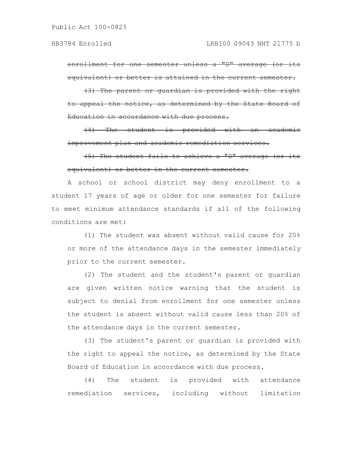enrollment for one semester unless a "D" average (or its equivalent) or better is attained in the current semester.

(3) The parent or guardian is provided with the right to appeal the notice, as determined by the State Board of Education in accordance with due process.

(4) The student is provided with an academic improvement plan and academic remediation services.

(5) The student fails to achieve a "D" average (or its equivalent) or better in the current semester.

A school or school district may deny enrollment to a student 17 years of age or older for one semester for failure to meet minimum attendance standards if all of the following conditions are met:

(1) The student was absent without valid cause for 20% or more of the attendance days in the semester immediately prior to the current semester.

(2) The student and the student's parent or guardian are given written notice warning that the student is subject to denial from enrollment for one semester unless the student is absent without valid cause less than 20% of the attendance days in the current semester.

(3) The student's parent or guardian is provided with the right to appeal the notice, as determined by the State Board of Education in accordance with due process.

(4) The student is provided with attendance remediation services, including without limitation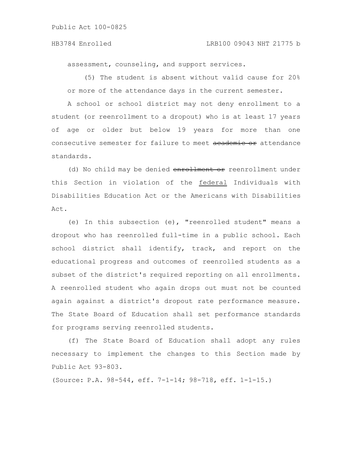## HB3784 Enrolled LRB100 09043 NHT 21775 b

assessment, counseling, and support services.

(5) The student is absent without valid cause for 20% or more of the attendance days in the current semester.

A school or school district may not deny enrollment to a student (or reenrollment to a dropout) who is at least 17 years of age or older but below 19 years for more than one consecutive semester for failure to meet academic or attendance standards.

(d) No child may be denied enrollment or reenrollment under this Section in violation of the federal Individuals with Disabilities Education Act or the Americans with Disabilities Act.

(e) In this subsection (e), "reenrolled student" means a dropout who has reenrolled full-time in a public school. Each school district shall identify, track, and report on the educational progress and outcomes of reenrolled students as a subset of the district's required reporting on all enrollments. A reenrolled student who again drops out must not be counted again against a district's dropout rate performance measure. The State Board of Education shall set performance standards for programs serving reenrolled students.

(f) The State Board of Education shall adopt any rules necessary to implement the changes to this Section made by Public Act 93-803.

(Source: P.A. 98-544, eff. 7-1-14; 98-718, eff. 1-1-15.)